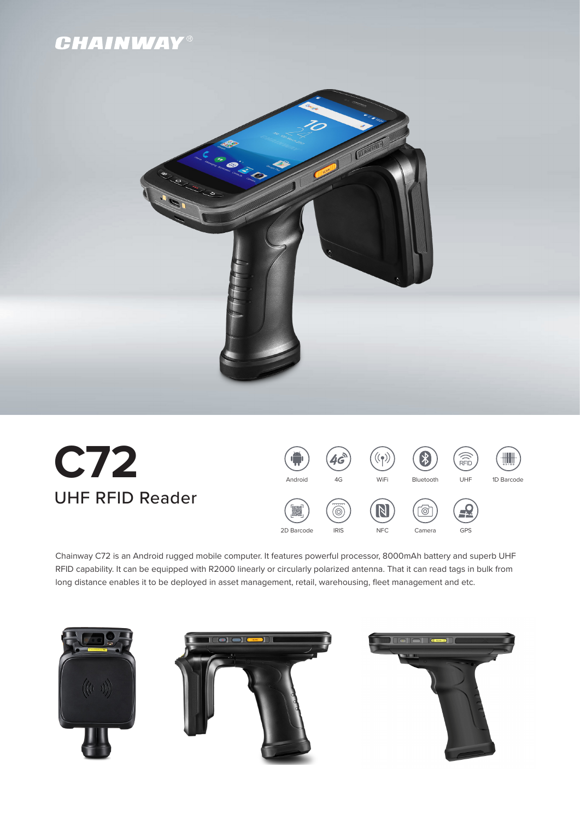



# **C72** UHF RFID Reader



Chainway C72 is an Android rugged mobile computer. It features powerful processor, 8000mAh battery and superb UHF RFID capability. It can be equipped with R2000 linearly or circularly polarized antenna. That it can read tags in bulk from long distance enables it to be deployed in asset management, retail, warehousing, fleet management and etc.